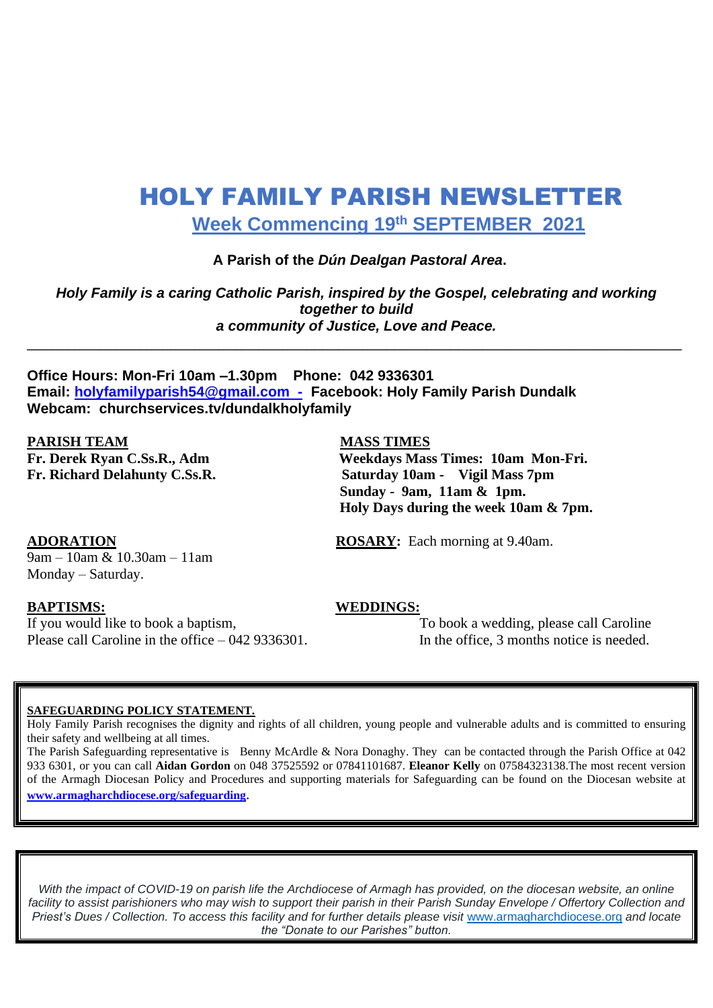# HOLY FAMILY PARISH NEWSLETTER  **Week Commencing 19 th SEPTEMBER 2021**

#### **A Parish of the** *Dún Dealgan Pastoral Area***.**

*Holy Family is a caring Catholic Parish, inspired by the Gospel, celebrating and working together to build a community of Justice, Love and Peace.*

\_\_\_\_\_\_\_\_\_\_\_\_\_\_\_\_\_\_\_\_\_\_\_\_\_\_\_\_\_\_\_\_\_\_\_\_\_\_\_\_\_\_\_\_\_\_\_\_\_\_\_\_\_\_\_\_\_\_\_\_\_\_\_\_\_\_\_\_\_\_\_\_\_\_\_\_\_\_\_\_\_\_

**Office Hours: Mon-Fri 10am –1.30pm Phone: 042 9336301 Email: [holyfamilyparish54@gmail.com -](mailto:holyfamilyparish54@gmail.com%20%20-) Facebook: Holy Family Parish Dundalk Webcam: churchservices.tv/dundalkholyfamily** 

**PARISH TEAM MASS TIMES** 

**Fr. Derek Ryan C.Ss.R., Adm Weekdays Mass Times: 10am Mon-Fri. Fr. Richard Delahunty C.Ss.R. Saturday 10am - Vigil Mass 7pm Sunday - 9am, 11am & 1pm. Holy Days during the week 10am & 7pm.**

 $\sqrt{9am - 10am \& 10.30am - 11am}$ Monday – Saturday.

If you would like to book a baptism, To book a wedding, please call Caroline Please call Caroline in the office – 042 9336301. In the office, 3 months notice is needed.

**ADORATION ROSARY:** Each morning at 9.40am.

#### **BAPTISMS: WEDDINGS:**

#### **SAFEGUARDING POLICY STATEMENT.**

Holy Family Parish recognises the dignity and rights of all children, young people and vulnerable adults and is committed to ensuring their safety and wellbeing at all times.

The Parish Safeguarding representative is Benny McArdle & Nora Donaghy. They can be contacted through the Parish Office at 042 933 6301, or you can call **Aidan Gordon** on 048 37525592 or 07841101687. **Eleanor Kelly** on 07584323138.The most recent version of the Armagh Diocesan Policy and Procedures and supporting materials for Safeguarding can be found on the Diocesan website at **[www.armagharchdiocese.org/safeguarding](http://www.armagharchdiocese.org/safeguarding)**.

*With the impact of COVID-19 on parish life the Archdiocese of Armagh has provided, on the diocesan website, an online facility to assist parishioners who may wish to support their parish in their Parish Sunday Envelope / Offertory Collection and Priest's Dues / Collection. To access this facility and for further details please visit* [www.armagharchdiocese.org](http://www.armagharchdiocese.org/) *and locate the "Donate to our Parishes" button.*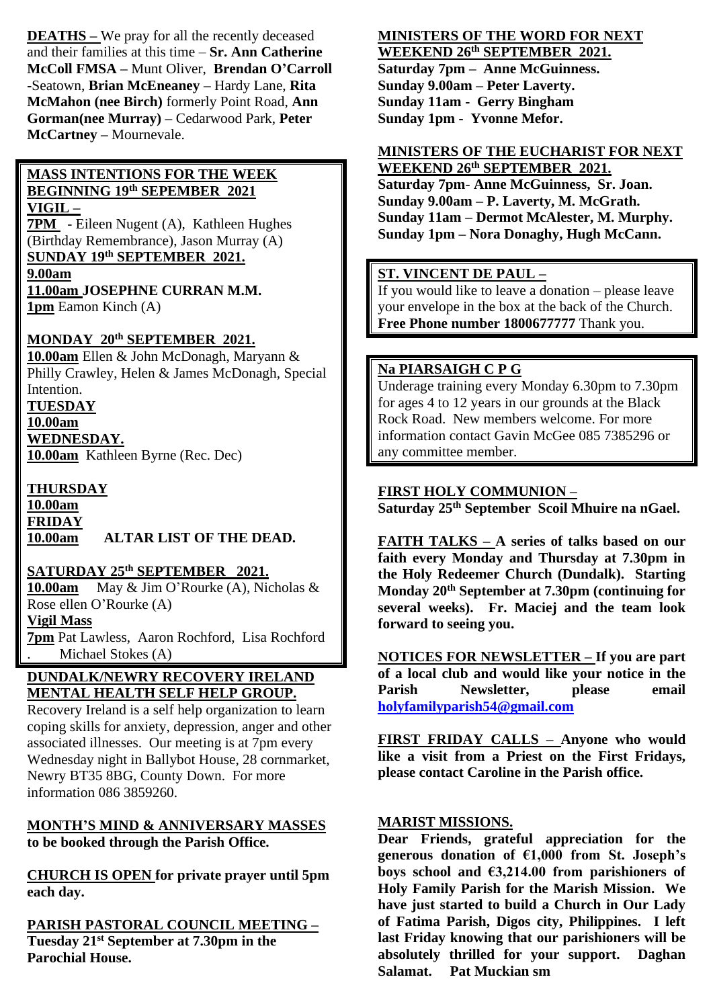**DEATHS –** We pray for all the recently deceased and their families at this time – **Sr. Ann Catherine McColl FMSA –** Munt Oliver, **Brendan O'Carroll -**Seatown, **Brian McEneaney –** Hardy Lane, **Rita McMahon (nee Birch)** formerly Point Road, **Ann Gorman(nee Murray) –** Cedarwood Park, **Peter McCartney –** Mournevale.

#### **MASS INTENTIONS FOR THE WEEK BEGINNING 19 th SEPEMBER 2021 VIGIL –**

**7PM** - Eileen Nugent (A), Kathleen Hughes (Birthday Remembrance), Jason Murray (A) **SUNDAY 19 th SEPTEMBER 2021. 9.00am**

**11.00am JOSEPHNE CURRAN M.M. 1pm** Eamon Kinch (A)

# **MONDAY 20 th SEPTEMBER 2021.**

**10.00am** Ellen & John McDonagh, Maryann & Philly Crawley, Helen & James McDonagh, Special Intention.

**TUESDAY 10.00am WEDNESDAY. 10.00am** Kathleen Byrne (Rec. Dec)

## **THURSDAY**

**10.00am FRIDAY 10.00am ALTAR LIST OF THE DEAD.**

# **SATURDAY 25th SEPTEMBER 2021.**

**10.00am** May & Jim O'Rourke (A), Nicholas & Rose ellen O'Rourke (A) **Vigil Mass 7pm** Pat Lawless, Aaron Rochford, Lisa Rochford Michael Stokes (A)

## **DUNDALK/NEWRY RECOVERY IRELAND MENTAL HEALTH SELF HELP GROUP.**

Recovery Ireland is a self help organization to learn coping skills for anxiety, depression, anger and other associated illnesses. Our meeting is at 7pm every Wednesday night in Ballybot House, 28 cornmarket, Newry BT35 8BG, County Down. For more information 086 3859260.

### **MONTH'S MIND & ANNIVERSARY MASSES to be booked through the Parish Office.**

**CHURCH IS OPEN for private prayer until 5pm each day.**

# **PARISH PASTORAL COUNCIL MEETING –**

**Tuesday 21st September at 7.30pm in the Parochial House.**

# **MINISTERS OF THE WORD FOR NEXT**

**WEEKEND 26th SEPTEMBER 2021. Saturday 7pm – Anne McGuinness. Sunday 9.00am – Peter Laverty. Sunday 11am - Gerry Bingham Sunday 1pm - Yvonne Mefor.**

#### **MINISTERS OF THE EUCHARIST FOR NEXT WEEKEND 26th SEPTEMBER 2021.**

**Saturday 7pm**- **Anne McGuinness, Sr. Joan. Sunday 9.00am – P. Laverty, M. McGrath. Sunday 11am – Dermot McAlester, M. Murphy. Sunday 1pm – Nora Donaghy, Hugh McCann.**

## **ST. VINCENT DE PAUL –**

If you would like to leave a donation – please leave your envelope in the box at the back of the Church. **Free Phone number 1800677777** Thank you.

### **Na PIARSAIGH C P G**

Underage training every Monday 6.30pm to 7.30pm for ages 4 to 12 years in our grounds at the Black Rock Road. New members welcome. For more information contact Gavin McGee 085 7385296 or any committee member.

## **FIRST HOLY COMMUNION –**

**Saturday 25th September Scoil Mhuire na nGael.**

**FAITH TALKS – A series of talks based on our faith every Monday and Thursday at 7.30pm in the Holy Redeemer Church (Dundalk). Starting Monday 20th September at 7.30pm (continuing for several weeks). Fr. Maciej and the team look forward to seeing you.**

**NOTICES FOR NEWSLETTER – If you are part of a local club and would like your notice in the Parish Newsletter, please email [holyfamilyparish54@gmail.com](mailto:holyfamilyparish54@gmail.com)**

**FIRST FRIDAY CALLS – Anyone who would like a visit from a Priest on the First Fridays, please contact Caroline in the Parish office.**

### **MARIST MISSIONS.**

**Dear Friends, grateful appreciation for the generous donation of €1,000 from St. Joseph's boys school and €3,214.00 from parishioners of Holy Family Parish for the Marish Mission. We have just started to build a Church in Our Lady of Fatima Parish, Digos city, Philippines. I left last Friday knowing that our parishioners will be absolutely thrilled for your support. Daghan Salamat. Pat Muckian sm**